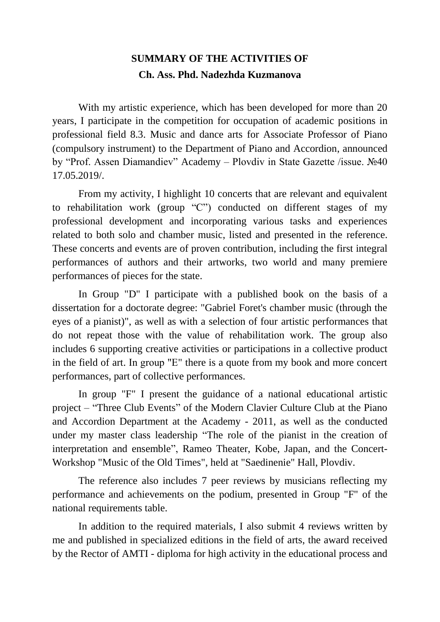## **SUMMARY OF THE ACTIVITIES OF Ch. Ass. Phd. Nadezhda Kuzmanova**

With my artistic experience, which has been developed for more than 20 years, I participate in the competition for occupation of academic positions in professional field 8.3. Music and dance arts for Associate Professor of Piano (compulsory instrument) to the Department of Piano and Accordion, announced by "Prof. Assen Diamandiev" Academy – Plovdiv in State Gazette /issue. №40 17.05.2019/.

From my activity, I highlight 10 concerts that are relevant and equivalent to rehabilitation work (group "C") conducted on different stages of my professional development and incorporating various tasks and experiences related to both solo and chamber music, listed and presented in the reference. These concerts and events are of proven contribution, including the first integral performances of authors and their artworks, two world and many premiere performances of pieces for the state.

In Group "D" I participate with a published book on the basis of a dissertation for a doctorate degree: "Gabriel Foret's chamber music (through the eyes of a pianist)", as well as with a selection of four artistic performances that do not repeat those with the value of rehabilitation work. The group also includes 6 supporting creative activities or participations in a collective product in the field of art. In group "Е" there is a quote from my book and more concert performances, part of collective performances.

In group "F" I present the guidance of a national educational artistic project – "Three Club Events" of the Modern Clavier Culture Club at the Piano and Accordion Department at the Academy - 2011, as well as the conducted under my master class leadership "The role of the pianist in the creation of interpretation and ensemble", Rameo Theater, Kobe, Japan, and the Concert-Workshop "Music of the Old Times", held at "Saedinenie" Hall, Plovdiv.

The reference also includes 7 peer reviews by musicians reflecting my performance and achievements on the podium, presented in Group "F" of the national requirements table.

In addition to the required materials, I also submit 4 reviews written by me and published in specialized editions in the field of arts, the award received by the Rector of AMTI - diploma for high activity in the educational process and